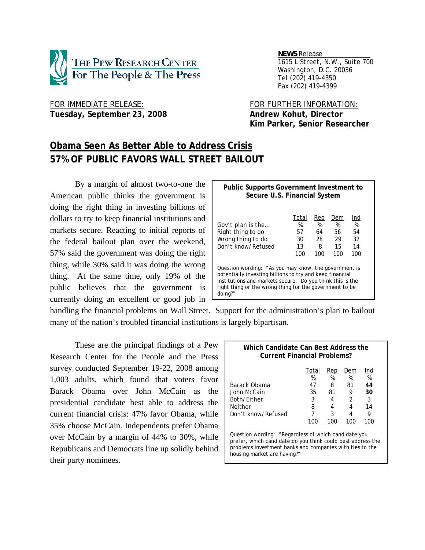

 *NEWS Release . 1615 L Street, N.W., Suite 700 Washington, D.C. 20036 Tel (202) 419-4350 Fax (202) 419-4399*

FOR IMMEDIATE RELEASE: FOR FURTHER INFORMATION: Tuesday, September 23, 2008 **Andrew Kohut, Director** 

 **Kim Parker, Senior Researcher** 

# **Obama Seen As Better Able to Address Crisis 57% OF PUBLIC FAVORS WALL STREET BAILOUT**

 By a margin of almost two-to-one the American public thinks the government is doing the right thing in investing billions of dollars to try to keep financial institutions and markets secure. Reacting to initial reports of the federal bailout plan over the weekend, 57% said the government was doing the right thing, while 30% said it was doing the wrong thing. At the same time, only 19% of the public believes that the government is currently doing an excellent or good job in

| <b>Public Supports Government Investment to</b><br>Secure U.S. Financial System                                                                                                                                                                      |                                     |                                               |                                      |                                   |  |  |  |
|------------------------------------------------------------------------------------------------------------------------------------------------------------------------------------------------------------------------------------------------------|-------------------------------------|-----------------------------------------------|--------------------------------------|-----------------------------------|--|--|--|
| Gov't plan is the<br>Right thing to do<br>Wrong thing to do<br>Don't know/Refused                                                                                                                                                                    | Total<br>%<br>57<br>30<br>13<br>100 | Rep<br>%<br>64<br>28<br>$\overline{8}$<br>100 | Dem<br>$\%$<br>56<br>29<br>15<br>100 | Ind<br>%<br>54<br>32<br>14<br>100 |  |  |  |
| Question wording: "As you may know, the government is<br>potentially investing billions to try and keep financial<br>institutions and markets secure. Do you think this is the<br>right thing or the wrong thing for the government to be<br>doing?" |                                     |                                               |                                      |                                   |  |  |  |

handling the financial problems on Wall Street. Support for the administration's plan to bailout many of the nation's troubled financial institutions is largely bipartisan.

These are the principal findings of a Pew Research Center for the People and the Press survey conducted September 19-22, 2008 among 1,003 adults, which found that voters favor Barack Obama over John McCain as the presidential candidate best able to address the current financial crisis: 47% favor Obama, while 35% choose McCain. Independents prefer Obama over McCain by a margin of 44% to 30%, while Republicans and Democrats line up solidly behind their party nominees.

## **Which Candidate Can Best Address the Current Financial Problems?**  Total Rep Dem Ind % % % % Barack Obama 47 8 81 **44** John McCain 35 81 9 **30** Both/Either 3 4 2 3 Neither 8 4 4 14

Don't know/Refused  $\frac{7}{100}$   $\frac{3}{100}$   $\frac{4}{100}$   $\frac{9}{100}$  100 100 100 100 Question wording: "Regardless of which candidate you prefer, which candidate do you think could best address the problems investment banks and companies with ties to the

housing market are having?"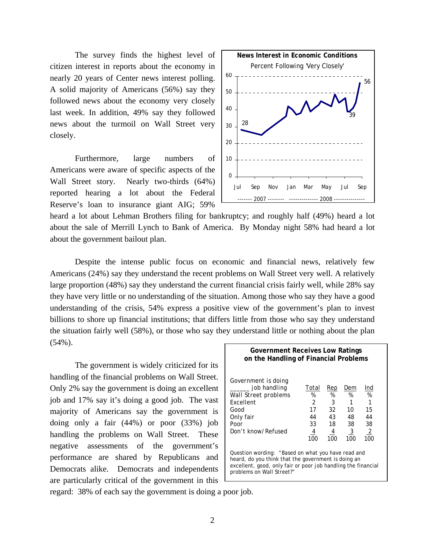The survey finds the highest level of citizen interest in reports about the economy in nearly 20 years of Center news interest polling. A solid majority of Americans (56%) say they followed news about the economy very closely last week. In addition, 49% say they followed news about the turmoil on Wall Street very closely.

Furthermore, large numbers of Americans were aware of specific aspects of the Wall Street story. Nearly two-thirds (64%) reported hearing a lot about the Federal Reserve's loan to insurance giant AIG; 59%



heard a lot about Lehman Brothers filing for bankruptcy; and roughly half (49%) heard a lot about the sale of Merrill Lynch to Bank of America. By Monday night 58% had heard a lot about the government bailout plan.

Despite the intense public focus on economic and financial news, relatively few Americans (24%) say they understand the recent problems on Wall Street very well. A relatively large proportion (48%) say they understand the current financial crisis fairly well, while 28% say they have very little or no understanding of the situation. Among those who say they have a good understanding of the crisis, 54% express a positive view of the government's plan to invest billions to shore up financial institutions; that differs little from those who say they understand the situation fairly well (58%), or those who say they understand little or nothing about the plan (54%). **Government Receives Low Ratings** 

The government is widely criticized for its handling of the financial problems on Wall Street. Only 2% say the government is doing an excellent job and 17% say it's doing a good job. The vast majority of Americans say the government is doing only a fair (44%) or poor (33%) job handling the problems on Wall Street. These negative assessments of the government's performance are shared by Republicans and Democrats alike. Democrats and independents are particularly critical of the government in this

| on the Handling of Financial Problems                                                                                                                                                                   |                                                           |                                             |                                                    |                                                     |  |  |
|---------------------------------------------------------------------------------------------------------------------------------------------------------------------------------------------------------|-----------------------------------------------------------|---------------------------------------------|----------------------------------------------------|-----------------------------------------------------|--|--|
| Government is doing<br>job handling<br>Wall Street problems<br><b>Fxcellent</b><br>Good<br>Only fair<br>Poor<br>Don't know/Refused                                                                      | Total<br>%<br>$\mathcal{P}$<br>17<br>44<br>33<br>4<br>100 | Rep<br>%<br>3<br>32<br>43<br>18<br>4<br>100 | Dem<br>%<br>10<br>48<br>38<br>$\frac{3}{2}$<br>100 | Ind<br>%<br>15<br>44<br>38<br>$\overline{2}$<br>100 |  |  |
| Question wording: "Based on what you have read and<br>heard, do you think that the government is doing an<br>excellent, good, only fair or poor job handling the financial<br>problems on Wall Street?" |                                                           |                                             |                                                    |                                                     |  |  |

regard: 38% of each say the government is doing a poor job.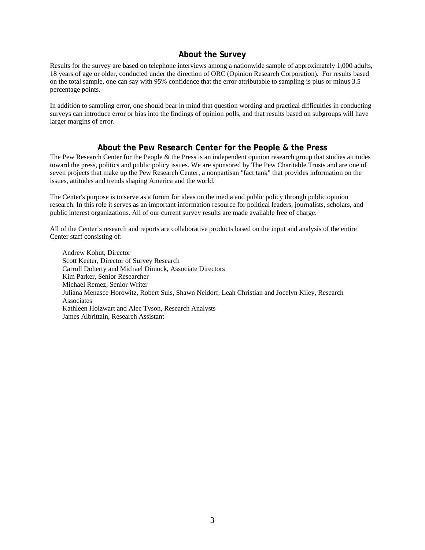# **About the Survey**

Results for the survey are based on telephone interviews among a nationwide sample of approximately 1,000 adults, 18 years of age or older, conducted under the direction of ORC (Opinion Research Corporation). For results based on the total sample, one can say with 95% confidence that the error attributable to sampling is plus or minus 3.5 percentage points.

In addition to sampling error, one should bear in mind that question wording and practical difficulties in conducting surveys can introduce error or bias into the findings of opinion polls, and that results based on subgroups will have larger margins of error.

## **About the Pew Research Center for the People & the Press**

The Pew Research Center for the People  $\&$  the Press is an independent opinion research group that studies attitudes toward the press, politics and public policy issues. We are sponsored by The Pew Charitable Trusts and are one of seven projects that make up the Pew Research Center, a nonpartisan "fact tank" that provides information on the issues, attitudes and trends shaping America and the world.

The Center's purpose is to serve as a forum for ideas on the media and public policy through public opinion research. In this role it serves as an important information resource for political leaders, journalists, scholars, and public interest organizations. All of our current survey results are made available free of charge.

All of the Center's research and reports are collaborative products based on the input and analysis of the entire Center staff consisting of:

 Andrew Kohut, Director Scott Keeter, Director of Survey Research Carroll Doherty and Michael Dimock, Associate Directors Kim Parker, Senior Researcher Michael Remez, Senior Writer Juliana Menasce Horowitz, Robert Suls, Shawn Neidorf, Leah Christian and Jocelyn Kiley, Research Associates Kathleen Holzwart and Alec Tyson, Research Analysts James Albrittain, Research Assistant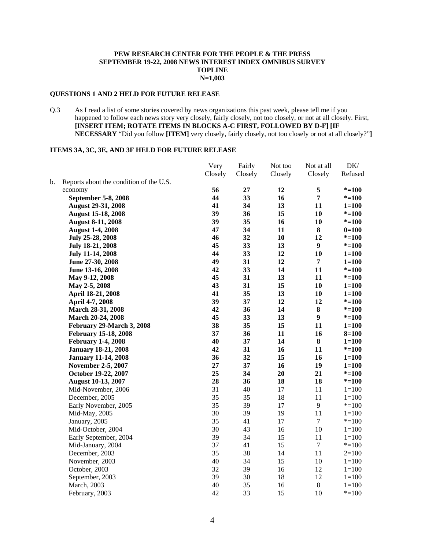#### **PEW RESEARCH CENTER FOR THE PEOPLE & THE PRESS SEPTEMBER 19-22, 2008 NEWS INTEREST INDEX OMNIBUS SURVEY TOPLINE N=1,003**

#### **QUESTIONS 1 AND 2 HELD FOR FUTURE RELEASE**

Q.3 As I read a list of some stories covered by news organizations this past week, please tell me if you happened to follow each news story very closely, fairly closely, not too closely, or not at all closely. First, **[INSERT ITEM; ROTATE ITEMS IN BLOCKS A-C FIRST, FOLLOWED BY D-F] [IF NECESSARY** "Did you follow **[ITEM]** very closely, fairly closely, not too closely or not at all closely?"**]** 

#### **ITEMS 3A, 3C, 3E, AND 3F HELD FOR FUTURE RELEASE**

|    |                                         | Very    | Fairly  | Not too | Not at all       | DK/       |
|----|-----------------------------------------|---------|---------|---------|------------------|-----------|
|    |                                         | Closely | Closely | Closely | Closely          | Refused   |
| b. | Reports about the condition of the U.S. |         |         |         |                  |           |
|    | economy                                 | 56      | 27      | 12      | 5                | $* = 100$ |
|    | September 5-8, 2008                     | 44      | 33      | 16      | $\overline{7}$   | $* = 100$ |
|    | <b>August 29-31, 2008</b>               | 41      | 34      | 13      | 11               | $1 = 100$ |
|    | <b>August 15-18, 2008</b>               | 39      | 36      | 15      | 10               | $* = 100$ |
|    | <b>August 8-11, 2008</b>                | 39      | 35      | 16      | 10               | $* = 100$ |
|    | <b>August 1-4, 2008</b>                 | 47      | 34      | 11      | 8                | $0=100$   |
|    | July 25-28, 2008                        | 46      | 32      | 10      | 12               | $* = 100$ |
|    | July 18-21, 2008                        | 45      | 33      | 13      | $\boldsymbol{9}$ | $* = 100$ |
|    | <b>July 11-14, 2008</b>                 | 44      | 33      | 12      | 10               | $1 = 100$ |
|    | June 27-30, 2008                        | 49      | 31      | 12      | $\overline{7}$   | $1 = 100$ |
|    | June 13-16, 2008                        | 42      | 33      | 14      | 11               | $* = 100$ |
|    | May 9-12, 2008                          | 45      | 31      | 13      | 11               | $* = 100$ |
|    | May 2-5, 2008                           | 43      | 31      | 15      | 10               | $1 = 100$ |
|    | April 18-21, 2008                       | 41      | 35      | 13      | 10               | $1 = 100$ |
|    | April 4-7, 2008                         | 39      | 37      | 12      | 12               | $* = 100$ |
|    | March 28-31, 2008                       | 42      | 36      | 14      | ${\bf 8}$        | $* = 100$ |
|    | March 20-24, 2008                       | 45      | 33      | 13      | $\boldsymbol{9}$ | $* = 100$ |
|    | February 29-March 3, 2008               | 38      | 35      | 15      | 11               | $1 = 100$ |
|    | <b>February 15-18, 2008</b>             | 37      | 36      | 11      | 16               | $8 = 100$ |
|    | <b>February 1-4, 2008</b>               | 40      | 37      | 14      | 8                | $1 = 100$ |
|    | <b>January 18-21, 2008</b>              | 42      | 31      | 16      | 11               | $* = 100$ |
|    | <b>January 11-14, 2008</b>              | 36      | 32      | 15      | 16               | $1 = 100$ |
|    | <b>November 2-5, 2007</b>               | 27      | 37      | 16      | 19               | $1 = 100$ |
|    | October 19-22, 2007                     | 25      | 34      | 20      | 21               | $* = 100$ |
|    | <b>August 10-13, 2007</b>               | 28      | 36      | 18      | 18               | $* = 100$ |
|    | Mid-November, 2006                      | 31      | 40      | 17      | 11               | $1 = 100$ |
|    | December, 2005                          | 35      | 35      | 18      | 11               | $1 = 100$ |
|    | Early November, 2005                    | 35      | 39      | 17      | 9                | $* = 100$ |
|    | Mid-May, 2005                           | 30      | 39      | 19      | 11               | $1 = 100$ |
|    | January, 2005                           | 35      | 41      | 17      | $\overline{7}$   | $* = 100$ |
|    | Mid-October, 2004                       | 30      | 43      | 16      | 10               | $1 = 100$ |
|    | Early September, 2004                   | 39      | 34      | 15      | 11               | $1 = 100$ |
|    | Mid-January, 2004                       | 37      | 41      | 15      | $\boldsymbol{7}$ | $* = 100$ |
|    | December, 2003                          | 35      | 38      | 14      | 11               | $2=100$   |
|    | November, 2003                          | 40      | 34      | 15      | 10               | $1 = 100$ |
|    | October, 2003                           | 32      | 39      | 16      | 12               | $1 = 100$ |
|    | September, 2003                         | 39      | 30      | 18      | 12               | $1 = 100$ |
|    | March, 2003                             | 40      | 35      | 16      | $\,8\,$          | $1 = 100$ |
|    | February, 2003                          | 42      | 33      | 15      | 10               | $* = 100$ |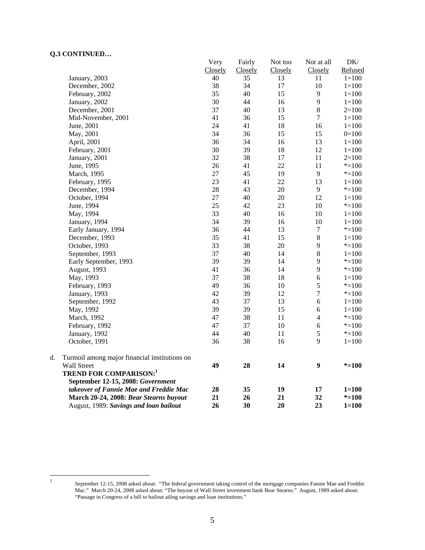# **Q.3 CONTINUED…**

|    |                                               | Very    | Fairly  | Not too | Not at all       | $DK/$     |
|----|-----------------------------------------------|---------|---------|---------|------------------|-----------|
|    |                                               | Closely | Closely | Closely | Closely          | Refused   |
|    | January, 2003                                 | 40      | 35      | 13      | 11               | $1 = 100$ |
|    | December, 2002                                | 38      | 34      | $17\,$  | 10               | $1 = 100$ |
|    | February, 2002                                | 35      | 40      | 15      | 9                | $1 = 100$ |
|    | January, 2002                                 | 30      | 44      | 16      | 9                | $1 = 100$ |
|    | December, 2001                                | 37      | 40      | 13      | $\,8\,$          | $2=100$   |
|    | Mid-November, 2001                            | 41      | 36      | 15      | $\boldsymbol{7}$ | $1 = 100$ |
|    | June, 2001                                    | 24      | 41      | 18      | 16               | $1 = 100$ |
|    | May, 2001                                     | 34      | 36      | 15      | 15               | $0=100$   |
|    | April, 2001                                   | 36      | 34      | 16      | 13               | $1 = 100$ |
|    | February, 2001                                | 30      | 39      | 18      | 12               | $1 = 100$ |
|    | January, 2001                                 | 32      | 38      | 17      | 11               | $2=100$   |
|    | June, 1995                                    | 26      | 41      | 22      | 11               | $* = 100$ |
|    | March, 1995                                   | 27      | 45      | 19      | 9                | $* = 100$ |
|    | February, 1995                                | 23      | 41      | 22      | 13               | $1 = 100$ |
|    | December, 1994                                | 28      | 43      | 20      | 9                | $* = 100$ |
|    | October, 1994                                 | 27      | 40      | 20      | 12               | $1 = 100$ |
|    | June, 1994                                    | 25      | 42      | 23      | 10               | $* = 100$ |
|    | May, 1994                                     | 33      | 40      | 16      | 10               | $1 = 100$ |
|    | January, 1994                                 | 34      | 39      | 16      | 10               | $1 = 100$ |
|    | Early January, 1994                           | 36      | 44      | 13      | $\boldsymbol{7}$ | $* = 100$ |
|    | December, 1993                                | 35      | 41      | 15      | $\,$ 8 $\,$      | $1 = 100$ |
|    | October, 1993                                 | 33      | 38      | 20      | 9                | $* = 100$ |
|    | September, 1993                               | 37      | 40      | 14      | $\,8\,$          | $1 = 100$ |
|    | Early September, 1993                         | 39      | 39      | 14      | 9                | $* = 100$ |
|    | August, 1993                                  | 41      | 36      | 14      | 9                | $* = 100$ |
|    | May, 1993                                     | 37      | 38      | 18      | 6                | $1 = 100$ |
|    | February, 1993                                | 49      | 36      | 10      | 5                | $*=100$   |
|    | January, 1993                                 | 42      | 39      | 12      | $\tau$           | $* = 100$ |
|    | September, 1992                               | 43      | 37      | 13      | $\sqrt{6}$       | $1 = 100$ |
|    | May, 1992                                     | 39      | 39      | 15      | 6                | $1 = 100$ |
|    | March, 1992                                   | 47      | 38      | 11      | 4                | $*=100$   |
|    | February, 1992                                | 47      | 37      | 10      | 6                | $*=100$   |
|    | January, 1992                                 | 44      | 40      | 11      | 5                | $* = 100$ |
|    | October, 1991                                 | 36      | 38      | 16      | 9                | $1 = 100$ |
| d. | Turmoil among major financial institutions on |         |         |         |                  |           |
|    | Wall Street                                   | 49      | 28      | 14      | $\boldsymbol{9}$ | $* = 100$ |
|    | <b>TREND FOR COMPARISON:1</b>                 |         |         |         |                  |           |
|    | September 12-15, 2008: Government             |         |         |         |                  |           |
|    | takeover of Fannie Mae and Freddie Mac        | 28      | 35      | 19      | 17               | $1 = 100$ |
|    | March 20-24, 2008: Bear Stearns buyout        | 21      | 26      | 21      | 32               | $* = 100$ |
|    | August, 1989: Savings and loan bailout        | 26      | 30      | 20      | 23               | $1 = 100$ |

 $\frac{1}{1}$ 

September 12-15, 2008 asked about: "The federal government taking control of the mortgage companies Fannie Mae and Freddie Mac." March 20-24, 2008 asked about: "The buyout of Wall Street investment bank Bear Stearns." August, 1989 asked about: "Passage in Congress of a bill to bailout ailing savings and loan institutions."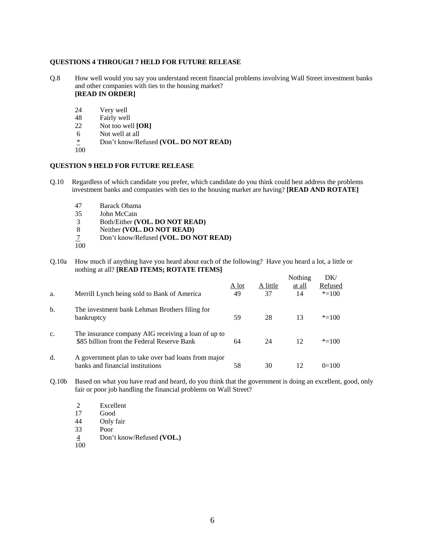#### **QUESTIONS 4 THROUGH 7 HELD FOR FUTURE RELEASE**

- Q.8 How well would you say you understand recent financial problems involving Wall Street investment banks and other companies with ties to the housing market? **[READ IN ORDER]** 
	- 24 Very well
	- 48 Fairly well<br>22 Not too well
	- Not too well [OR]
	- 6 Not well at all
	- \* Don't know/Refused **(VOL. DO NOT READ)**
	- 100

#### **QUESTION 9 HELD FOR FUTURE RELEASE**

- Q.10 Regardless of which candidate you prefer, which candidate do you think could best address the problems investment banks and companies with ties to the housing market are having? **[READ AND ROTATE]**
	- 47 Barack Obama
	- John McCain
	- 3 Both/Either **(VOL. DO NOT READ)**
	- 8 Neither **(VOL. DO NOT READ)**
	- 7 Don't know/Refused **(VOL. DO NOT READ)**
	- 100

Q.10a How much if anything have you heard about each of the following? Have you heard a lot, a little or nothing at all? **[READ ITEMS; ROTATE ITEMS]** 

| a. | Merrill Lynch being sold to Bank of America                                                       | A lot<br>49 | A little<br>37 | Nothing<br>at all<br>14 | DK/<br>Refused<br>$* = 100$ |
|----|---------------------------------------------------------------------------------------------------|-------------|----------------|-------------------------|-----------------------------|
| b. | The investment bank Lehman Brothers filing for<br>bankruptcy                                      | 59          | 28             | 13                      | $* = 100$                   |
| c. | The insurance company AIG receiving a loan of up to<br>\$85 billion from the Federal Reserve Bank | 64          | 24             | 12                      | $* = 100$                   |
| d. | A government plan to take over bad loans from major<br>banks and financial institutions           | 58          | 30             | 12                      | $0=100$                     |

- Q.10b Based on what you have read and heard, do you think that the government is doing an excellent, good, only fair or poor job handling the financial problems on Wall Street?
	- 2 Excellent<br>17 Good Good
	- 44 Only fair
	- 33 Poor
	- 4 Don't know/Refused **(VOL.)**
	- 100